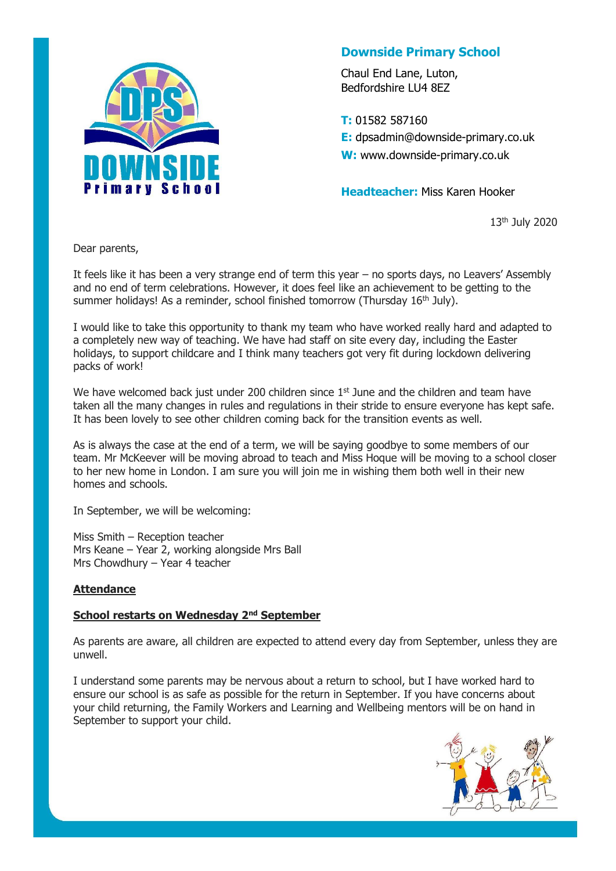

# **Downside Primary School**

Chaul End Lane, Luton, Bedfordshire LU4 8EZ

**T:** 01582 587160 **E:** dpsadmin@downside-primary.co.uk **W:** www.downside-primary.co.uk

**Headteacher:** Miss Karen Hooker

13th July 2020

Dear parents,

It feels like it has been a very strange end of term this year – no sports days, no Leavers' Assembly and no end of term celebrations. However, it does feel like an achievement to be getting to the summer holidays! As a reminder, school finished tomorrow (Thursday 16<sup>th</sup> July).

I would like to take this opportunity to thank my team who have worked really hard and adapted to a completely new way of teaching. We have had staff on site every day, including the Easter holidays, to support childcare and I think many teachers got very fit during lockdown delivering packs of work!

We have welcomed back just under 200 children since  $1<sup>st</sup>$  June and the children and team have taken all the many changes in rules and regulations in their stride to ensure everyone has kept safe. It has been lovely to see other children coming back for the transition events as well.

As is always the case at the end of a term, we will be saying goodbye to some members of our team. Mr McKeever will be moving abroad to teach and Miss Hoque will be moving to a school closer to her new home in London. I am sure you will join me in wishing them both well in their new homes and schools.

In September, we will be welcoming:

Miss Smith – Reception teacher Mrs Keane – Year 2, working alongside Mrs Ball Mrs Chowdhury – Year 4 teacher

#### **Attendance**

#### **School restarts on Wednesday 2nd September**

As parents are aware, all children are expected to attend every day from September, unless they are unwell.

I understand some parents may be nervous about a return to school, but I have worked hard to ensure our school is as safe as possible for the return in September. If you have concerns about your child returning, the Family Workers and Learning and Wellbeing mentors will be on hand in September to support your child.

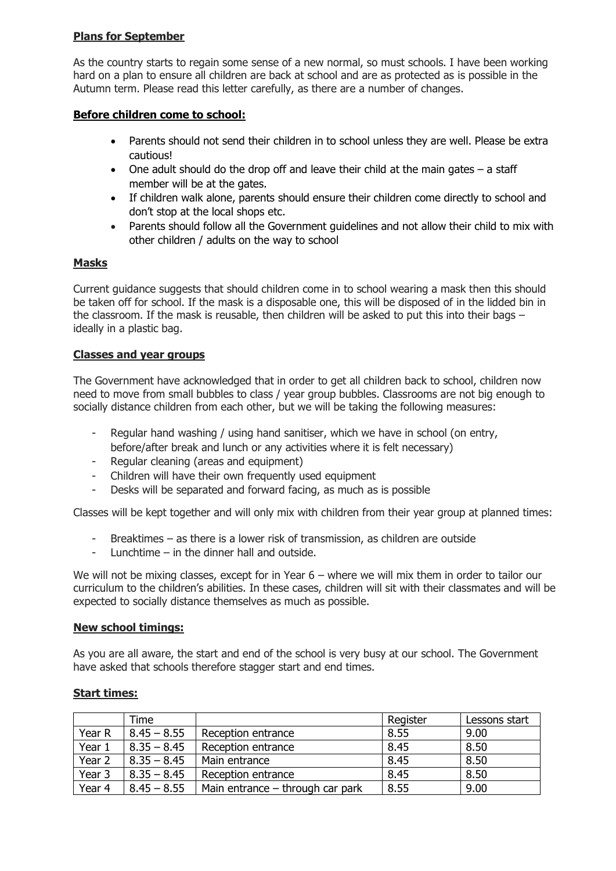## **Plans for September**

As the country starts to regain some sense of a new normal, so must schools. I have been working hard on a plan to ensure all children are back at school and are as protected as is possible in the Autumn term. Please read this letter carefully, as there are a number of changes.

## **Before children come to school:**

- Parents should not send their children in to school unless they are well. Please be extra cautious!
- $\bullet$  One adult should do the drop off and leave their child at the main gates  $-$  a staff member will be at the gates.
- If children walk alone, parents should ensure their children come directly to school and don't stop at the local shops etc.
- Parents should follow all the Government guidelines and not allow their child to mix with other children / adults on the way to school

## **Masks**

Current guidance suggests that should children come in to school wearing a mask then this should be taken off for school. If the mask is a disposable one, this will be disposed of in the lidded bin in the classroom. If the mask is reusable, then children will be asked to put this into their bags – ideally in a plastic bag.

#### **Classes and year groups**

The Government have acknowledged that in order to get all children back to school, children now need to move from small bubbles to class / year group bubbles. Classrooms are not big enough to socially distance children from each other, but we will be taking the following measures:

- Regular hand washing / using hand sanitiser, which we have in school (on entry, before/after break and lunch or any activities where it is felt necessary)
- Regular cleaning (areas and equipment)
- Children will have their own frequently used equipment
- Desks will be separated and forward facing, as much as is possible

Classes will be kept together and will only mix with children from their year group at planned times:

- Breaktimes as there is a lower risk of transmission, as children are outside
- Lunchtime in the dinner hall and outside.

We will not be mixing classes, except for in Year 6 – where we will mix them in order to tailor our curriculum to the children's abilities. In these cases, children will sit with their classmates and will be expected to socially distance themselves as much as possible.

#### **New school timings:**

As you are all aware, the start and end of the school is very busy at our school. The Government have asked that schools therefore stagger start and end times.

|                   | Time          |                                  | Register | Lessons start |
|-------------------|---------------|----------------------------------|----------|---------------|
| Year R            | $8.45 - 8.55$ | Reception entrance               | 8.55     | 9.00          |
| Year 1            | $8.35 - 8.45$ | Reception entrance               | 8.45     | 8.50          |
| Year <sub>2</sub> | $8.35 - 8.45$ | Main entrance                    | 8.45     | 8.50          |
| Year <sub>3</sub> | $8.35 - 8.45$ | Reception entrance               | 8.45     | 8.50          |
| Year 4            | $8.45 - 8.55$ | Main entrance – through car park | 8.55     | 9.00          |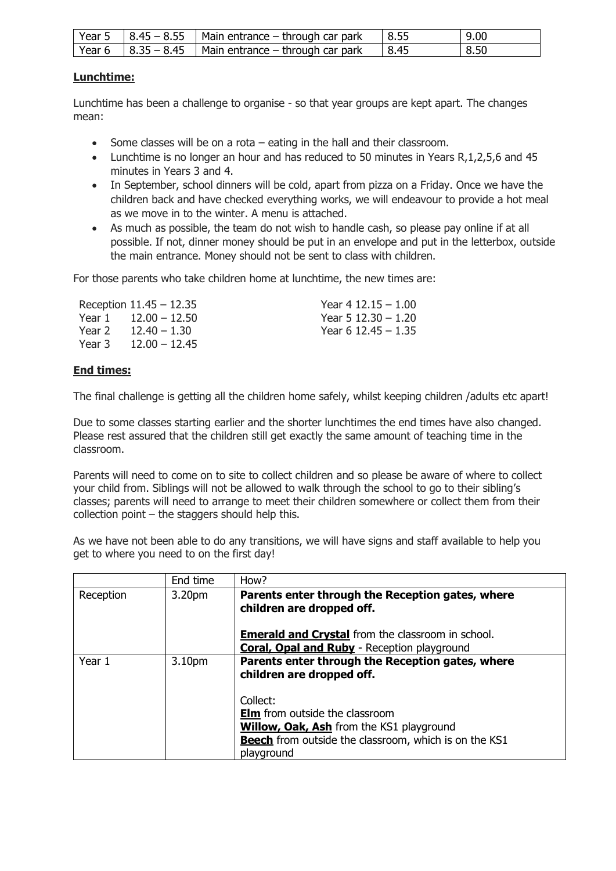|  | Year 5 $\left  8.45 - 8.55 \right $ Main entrance – through car park | $\vert 8.55$ | 9.00 |
|--|----------------------------------------------------------------------|--------------|------|
|  | Year 6 $\mid$ 8.35 – 8.45 $\mid$ Main entrance – through car park    | 8.45         | 8.50 |

## **Lunchtime:**

Lunchtime has been a challenge to organise - so that year groups are kept apart. The changes mean:

- Some classes will be on a rota  $-$  eating in the hall and their classroom.
- Lunchtime is no longer an hour and has reduced to 50 minutes in Years R,1,2,5,6 and 45 minutes in Years 3 and 4.
- In September, school dinners will be cold, apart from pizza on a Friday. Once we have the children back and have checked everything works, we will endeavour to provide a hot meal as we move in to the winter. A menu is attached.
- As much as possible, the team do not wish to handle cash, so please pay online if at all possible. If not, dinner money should be put in an envelope and put in the letterbox, outside the main entrance. Money should not be sent to class with children.

For those parents who take children home at lunchtime, the new times are:

|        | Reception $11.45 - 12.35$ | Year 4 12.15 $-1.00$  |
|--------|---------------------------|-----------------------|
| Year 1 | $12.00 - 12.50$           | Year 5 $12.30 - 1.20$ |
| Year 2 | $12.40 - 1.30$            | Year 6 12.45 $- 1.35$ |
| Year 3 | $12.00 - 12.45$           |                       |

# **End times:**

The final challenge is getting all the children home safely, whilst keeping children /adults etc apart!

Due to some classes starting earlier and the shorter lunchtimes the end times have also changed. Please rest assured that the children still get exactly the same amount of teaching time in the classroom.

Parents will need to come on to site to collect children and so please be aware of where to collect your child from. Siblings will not be allowed to walk through the school to go to their sibling's classes; parents will need to arrange to meet their children somewhere or collect them from their collection point – the staggers should help this.

As we have not been able to do any transitions, we will have signs and staff available to help you get to where you need to on the first day!

|           | End time           | How?                                                                                                                                                                               |
|-----------|--------------------|------------------------------------------------------------------------------------------------------------------------------------------------------------------------------------|
| Reception | 3.20 <sub>pm</sub> | Parents enter through the Reception gates, where<br>children are dropped off.                                                                                                      |
|           |                    | <b>Emerald and Crystal</b> from the classroom in school.<br><b>Coral, Opal and Ruby</b> - Reception playground                                                                     |
| Year 1    | 3.10 <sub>pm</sub> | Parents enter through the Reception gates, where<br>children are dropped off.                                                                                                      |
|           |                    | Collect:<br><b>Elm</b> from outside the classroom<br><b>Willow, Oak, Ash</b> from the KS1 playground<br><b>Beech</b> from outside the classroom, which is on the KS1<br>playground |